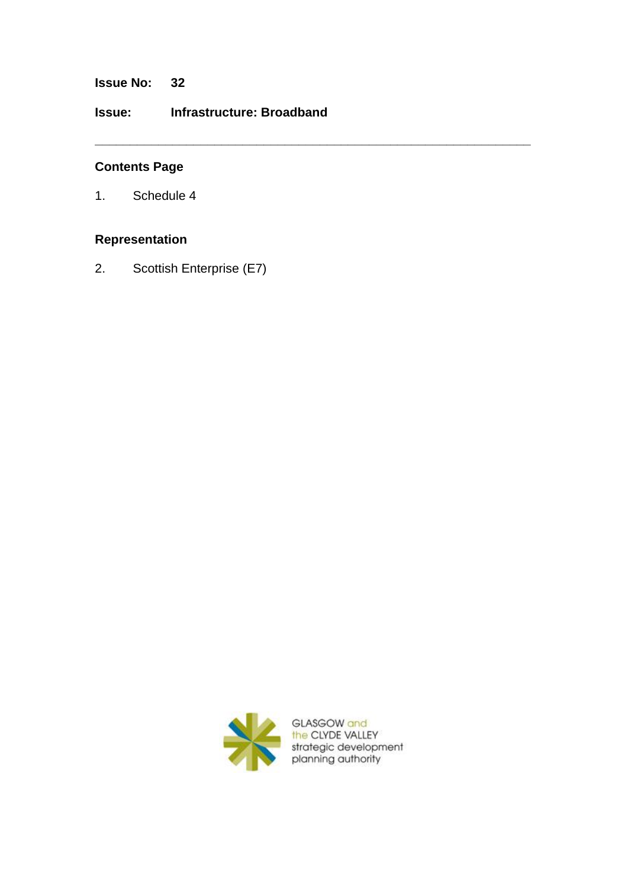**Issue No: 32**

**Issue: Infrastructure: Broadband**

**\_\_\_\_\_\_\_\_\_\_\_\_\_\_\_\_\_\_\_\_\_\_\_\_\_\_\_\_\_\_\_\_\_\_\_\_\_\_\_\_\_\_\_\_\_\_\_\_\_\_\_\_\_\_\_\_\_\_\_\_\_\_**

## **Contents Page**

1. Schedule 4

## **Representation**

2. Scottish Enterprise (E7)

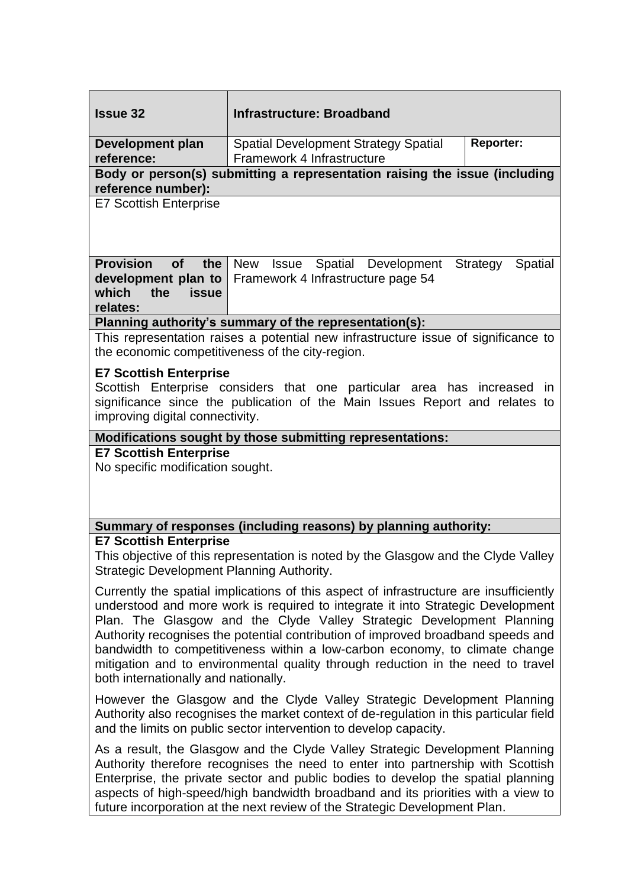| <b>Issue 32</b>                                                                                                                                                                                                                                                                                                                                                                                                                                                                                                                                  | <b>Infrastructure: Broadband</b>                                                   |                  |  |
|--------------------------------------------------------------------------------------------------------------------------------------------------------------------------------------------------------------------------------------------------------------------------------------------------------------------------------------------------------------------------------------------------------------------------------------------------------------------------------------------------------------------------------------------------|------------------------------------------------------------------------------------|------------------|--|
| Development plan<br>reference:                                                                                                                                                                                                                                                                                                                                                                                                                                                                                                                   | <b>Spatial Development Strategy Spatial</b><br>Framework 4 Infrastructure          | <b>Reporter:</b> |  |
| Body or person(s) submitting a representation raising the issue (including<br>reference number):                                                                                                                                                                                                                                                                                                                                                                                                                                                 |                                                                                    |                  |  |
| <b>E7 Scottish Enterprise</b>                                                                                                                                                                                                                                                                                                                                                                                                                                                                                                                    |                                                                                    |                  |  |
| <b>Provision</b><br>of<br>the<br>development plan to<br>which<br>the<br><b>issue</b><br>relates:                                                                                                                                                                                                                                                                                                                                                                                                                                                 | New Issue<br>Spatial Development<br>Strategy<br>Framework 4 Infrastructure page 54 | Spatial          |  |
| Planning authority's summary of the representation(s):                                                                                                                                                                                                                                                                                                                                                                                                                                                                                           |                                                                                    |                  |  |
| This representation raises a potential new infrastructure issue of significance to<br>the economic competitiveness of the city-region.                                                                                                                                                                                                                                                                                                                                                                                                           |                                                                                    |                  |  |
| <b>E7 Scottish Enterprise</b><br>Scottish Enterprise considers that one particular area has increased in<br>significance since the publication of the Main Issues Report and relates to<br>improving digital connectivity.                                                                                                                                                                                                                                                                                                                       |                                                                                    |                  |  |
| Modifications sought by those submitting representations:                                                                                                                                                                                                                                                                                                                                                                                                                                                                                        |                                                                                    |                  |  |
| <b>E7 Scottish Enterprise</b><br>No specific modification sought.                                                                                                                                                                                                                                                                                                                                                                                                                                                                                |                                                                                    |                  |  |
|                                                                                                                                                                                                                                                                                                                                                                                                                                                                                                                                                  | Summary of responses (including reasons) by planning authority:                    |                  |  |
| <b>E7 Scottish Enterprise</b><br>This objective of this representation is noted by the Glasgow and the Clyde Valley<br>Strategic Development Planning Authority.                                                                                                                                                                                                                                                                                                                                                                                 |                                                                                    |                  |  |
| Currently the spatial implications of this aspect of infrastructure are insufficiently<br>understood and more work is required to integrate it into Strategic Development<br>Plan. The Glasgow and the Clyde Valley Strategic Development Planning<br>Authority recognises the potential contribution of improved broadband speeds and<br>bandwidth to competitiveness within a low-carbon economy, to climate change<br>mitigation and to environmental quality through reduction in the need to travel<br>both internationally and nationally. |                                                                                    |                  |  |
| However the Glasgow and the Clyde Valley Strategic Development Planning<br>Authority also recognises the market context of de-regulation in this particular field<br>and the limits on public sector intervention to develop capacity.                                                                                                                                                                                                                                                                                                           |                                                                                    |                  |  |
| As a result, the Glasgow and the Clyde Valley Strategic Development Planning<br>Authority therefore recognises the need to enter into partnership with Scottish<br>Enterprise, the private sector and public bodies to develop the spatial planning<br>aspects of high-speed/high bandwidth broadband and its priorities with a view to<br>future incorporation at the next review of the Strategic Development Plan.                                                                                                                            |                                                                                    |                  |  |